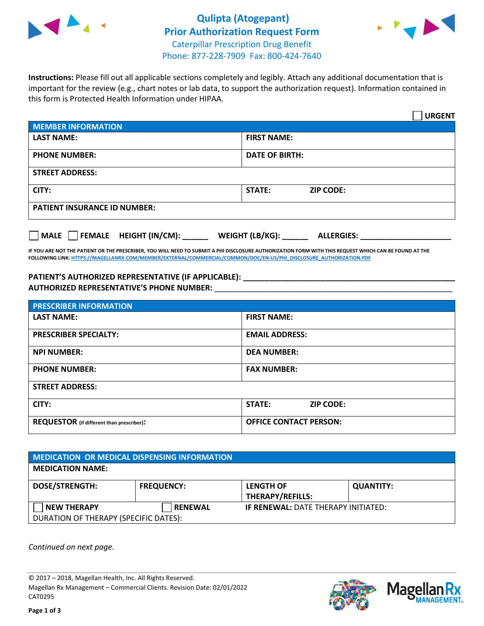



**Instructions:** Please fill out all applicable sections completely and legibly. Attach any additional documentation that is important for the review (e.g., chart notes or lab data, to support the authorization request). Information contained in this form is Protected Health Information under HIPAA.

|                                                | <b>URGENT</b>                        |  |  |  |
|------------------------------------------------|--------------------------------------|--|--|--|
| <b>MEMBER INFORMATION</b>                      |                                      |  |  |  |
| <b>LAST NAME:</b>                              | <b>FIRST NAME:</b>                   |  |  |  |
| <b>PHONE NUMBER:</b>                           | <b>DATE OF BIRTH:</b>                |  |  |  |
| <b>STREET ADDRESS:</b>                         |                                      |  |  |  |
| CITY:                                          | <b>ZIP CODE:</b><br>STATE:           |  |  |  |
| <b>PATIENT INSURANCE ID NUMBER:</b>            |                                      |  |  |  |
| FEMALE HEIGHT (IN/CM):<br>$\vert$ $\vert$ MALE | WEIGHT (LB/KG):<br><b>ALLERGIES:</b> |  |  |  |

**IF YOU ARE NOT THE PATIENT OR THE PRESCRIBER, YOU WILL NEED TO SUBMIT A PHI DISCLOSURE AUTHORIZATION FORM WITH THIS REQUEST WHICH CAN BE FOUND AT THE FOLLOWING LINK[: HTTPS://MAGELLANRX.COM/MEMBER/EXTERNAL/COMMERCIAL/COMMON/DOC/EN-US/PHI\\_DISCLOSURE\\_AUTHORIZATION.PDF](https://magellanrx.com/member/external/commercial/common/doc/en-us/PHI_Disclosure_Authorization.pdf)**

**PATIENT'S AUTHORIZED REPRESENTATIVE (IF APPLICABLE): \_\_\_\_\_\_\_\_\_\_\_\_\_\_\_\_\_\_\_\_\_\_\_\_\_\_\_\_\_\_\_\_\_\_\_\_\_\_\_\_\_\_\_\_\_\_\_\_\_ AUTHORIZED REPRESENTATIVE'S PHONE NUMBER:** \_\_\_\_\_\_\_\_\_\_\_\_\_\_\_\_\_\_\_\_\_\_\_\_\_\_\_\_\_\_\_\_\_\_\_\_\_\_\_\_\_\_\_\_\_\_\_\_\_\_\_\_\_\_\_

| <b>PRESCRIBER INFORMATION</b>             |                               |  |  |  |
|-------------------------------------------|-------------------------------|--|--|--|
| <b>LAST NAME:</b>                         | <b>FIRST NAME:</b>            |  |  |  |
| <b>PRESCRIBER SPECIALTY:</b>              | <b>EMAIL ADDRESS:</b>         |  |  |  |
| <b>NPI NUMBER:</b>                        | <b>DEA NUMBER:</b>            |  |  |  |
| <b>PHONE NUMBER:</b>                      | <b>FAX NUMBER:</b>            |  |  |  |
| <b>STREET ADDRESS:</b>                    |                               |  |  |  |
| CITY:                                     | STATE:<br><b>ZIP CODE:</b>    |  |  |  |
| REQUESTOR (if different than prescriber): | <b>OFFICE CONTACT PERSON:</b> |  |  |  |

| MEDICATION OR MEDICAL DISPENSING INFORMATION |                   |                                            |                  |  |  |
|----------------------------------------------|-------------------|--------------------------------------------|------------------|--|--|
| <b>MEDICATION NAME:</b>                      |                   |                                            |                  |  |  |
| <b>DOSE/STRENGTH:</b>                        | <b>FREQUENCY:</b> | <b>LENGTH OF</b><br>THERAPY/REFILLS:       | <b>QUANTITY:</b> |  |  |
| <b>NEW THERAPY</b>                           | <b>RENEWAL</b>    | <b>IF RENEWAL: DATE THERAPY INITIATED:</b> |                  |  |  |
| DURATION OF THERAPY (SPECIFIC DATES):        |                   |                                            |                  |  |  |

*Continued on next page.*

© 2017 – 2018, Magellan Health, Inc. All Rights Reserved. Magellan Rx Management – Commercial Clients. Revision Date: 02/01/2022 CAT0295



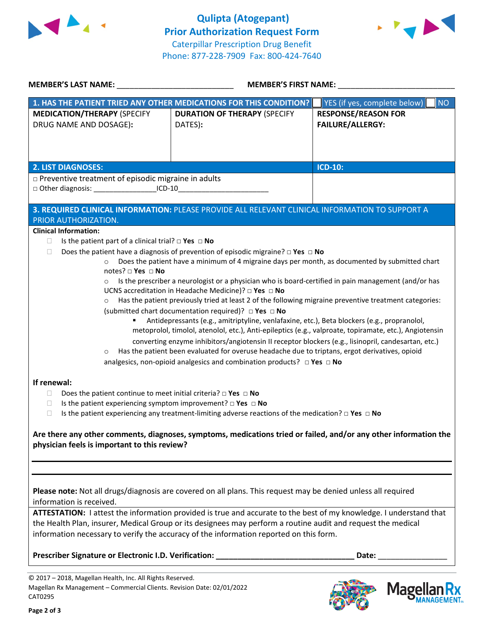



| <b>MEMBER'S LAST NAME:</b> NAME:                                                                             | MEMBER'S FIRST NAME:                                                                                                                                                   |                                           |  |  |
|--------------------------------------------------------------------------------------------------------------|------------------------------------------------------------------------------------------------------------------------------------------------------------------------|-------------------------------------------|--|--|
|                                                                                                              | 1. HAS THE PATIENT TRIED ANY OTHER MEDICATIONS FOR THIS CONDITION?                                                                                                     | YES (if yes, complete below)<br><b>NO</b> |  |  |
| <b>MEDICATION/THERAPY (SPECIFY</b>                                                                           | <b>DURATION OF THERAPY (SPECIFY</b>                                                                                                                                    | <b>RESPONSE/REASON FOR</b>                |  |  |
| DRUG NAME AND DOSAGE):                                                                                       | DATES):                                                                                                                                                                | <b>FAILURE/ALLERGY:</b>                   |  |  |
|                                                                                                              |                                                                                                                                                                        |                                           |  |  |
|                                                                                                              |                                                                                                                                                                        |                                           |  |  |
| <b>2. LIST DIAGNOSES:</b>                                                                                    |                                                                                                                                                                        | <b>ICD-10:</b>                            |  |  |
| p Preventive treatment of episodic migraine in adults                                                        |                                                                                                                                                                        |                                           |  |  |
| □ Other diagnosis: ____________________ICD-10__________________________________                              |                                                                                                                                                                        |                                           |  |  |
|                                                                                                              | 3. REQUIRED CLINICAL INFORMATION: PLEASE PROVIDE ALL RELEVANT CLINICAL INFORMATION TO SUPPORT A                                                                        |                                           |  |  |
| PRIOR AUTHORIZATION.                                                                                         |                                                                                                                                                                        |                                           |  |  |
| <b>Clinical Information:</b>                                                                                 |                                                                                                                                                                        |                                           |  |  |
| Is the patient part of a clinical trial? $\Box$ Yes $\Box$ No<br>U.                                          |                                                                                                                                                                        |                                           |  |  |
| O.                                                                                                           | Does the patient have a diagnosis of prevention of episodic migraine? $\square$ Yes $\square$ No                                                                       |                                           |  |  |
| $\circ$                                                                                                      | Does the patient have a minimum of 4 migraine days per month, as documented by submitted chart                                                                         |                                           |  |  |
| notes? $\square$ Yes $\square$ No                                                                            |                                                                                                                                                                        |                                           |  |  |
| $\circ$                                                                                                      | Is the prescriber a neurologist or a physician who is board-certified in pain management (and/or has<br>UCNS accreditation in Headache Medicine)? $\Box$ Yes $\Box$ No |                                           |  |  |
| $\circ$                                                                                                      | Has the patient previously tried at least 2 of the following migraine preventive treatment categories:                                                                 |                                           |  |  |
|                                                                                                              | (submitted chart documentation required)? DYes DNo                                                                                                                     |                                           |  |  |
|                                                                                                              | Antidepressants (e.g., amitriptyline, venlafaxine, etc.), Beta blockers (e.g., propranolol,                                                                            |                                           |  |  |
|                                                                                                              | metoprolol, timolol, atenolol, etc.), Anti-epileptics (e.g., valproate, topiramate, etc.), Angiotensin                                                                 |                                           |  |  |
|                                                                                                              | converting enzyme inhibitors/angiotensin II receptor blockers (e.g., lisinopril, candesartan, etc.)                                                                    |                                           |  |  |
| $\circ$                                                                                                      | Has the patient been evaluated for overuse headache due to triptans, ergot derivatives, opioid                                                                         |                                           |  |  |
|                                                                                                              | analgesics, non-opioid analgesics and combination products? $\Box$ Yes $\Box$ No                                                                                       |                                           |  |  |
| If renewal:                                                                                                  |                                                                                                                                                                        |                                           |  |  |
| Does the patient continue to meet initial criteria? $\Box$ Yes $\Box$ No<br>$\Box$                           |                                                                                                                                                                        |                                           |  |  |
| Is the patient experiencing symptom improvement? $\square$ Yes $\square$ No<br>□                             |                                                                                                                                                                        |                                           |  |  |
| $\Box$                                                                                                       | Is the patient experiencing any treatment-limiting adverse reactions of the medication? $\Box$ Yes $\Box$ No                                                           |                                           |  |  |
|                                                                                                              |                                                                                                                                                                        |                                           |  |  |
|                                                                                                              | Are there any other comments, diagnoses, symptoms, medications tried or failed, and/or any other information the                                                       |                                           |  |  |
| physician feels is important to this review?                                                                 |                                                                                                                                                                        |                                           |  |  |
|                                                                                                              |                                                                                                                                                                        |                                           |  |  |
|                                                                                                              |                                                                                                                                                                        |                                           |  |  |
|                                                                                                              |                                                                                                                                                                        |                                           |  |  |
|                                                                                                              | Please note: Not all drugs/diagnosis are covered on all plans. This request may be denied unless all required                                                          |                                           |  |  |
| information is received.                                                                                     |                                                                                                                                                                        |                                           |  |  |
|                                                                                                              | ATTESTATION: I attest the information provided is true and accurate to the best of my knowledge. I understand that                                                     |                                           |  |  |
| the Health Plan, insurer, Medical Group or its designees may perform a routine audit and request the medical |                                                                                                                                                                        |                                           |  |  |
|                                                                                                              | information necessary to verify the accuracy of the information reported on this form.                                                                                 |                                           |  |  |
|                                                                                                              | Prescriber Signature or Electronic I.D. Verification: ___________________________                                                                                      | Date: _________________                   |  |  |
|                                                                                                              |                                                                                                                                                                        |                                           |  |  |

© 2017 – 2018, Magellan Health, Inc. All Rights Reserved. Magellan Rx Management – Commercial Clients. Revision Date: 02/01/2022 CAT0295



**Magella** 

**AANAGEMENT**<sub>SM</sub>